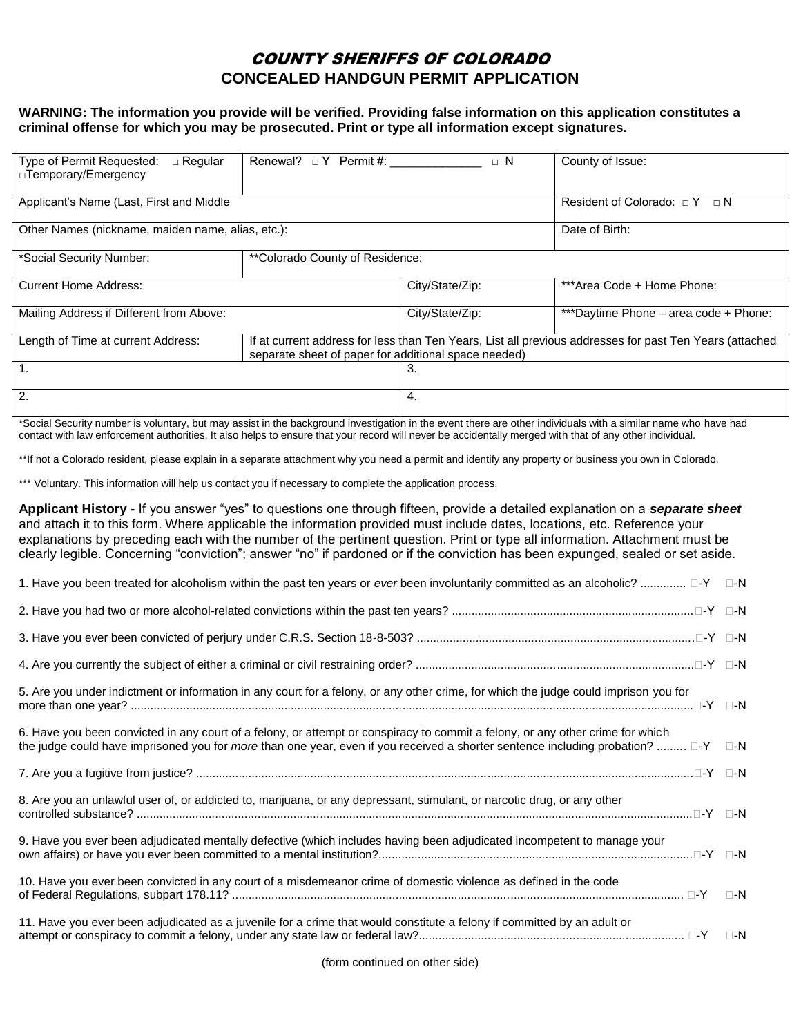## COUNTY SHERIFFS OF COLORADO **CONCEALED HANDGUN PERMIT APPLICATION**

## **WARNING: The information you provide will be verified. Providing false information on this application constitutes a criminal offense for which you may be prosecuted. Print or type all information except signatures.**

| Type of Permit Requested:<br>$\Box$ Regular<br>□ Temporary/Emergency | Renewal? $\Box$ Y Permit #:                                                                                                                                     | $\Box$ N        | County of Issue:                      |
|----------------------------------------------------------------------|-----------------------------------------------------------------------------------------------------------------------------------------------------------------|-----------------|---------------------------------------|
| Applicant's Name (Last, First and Middle                             |                                                                                                                                                                 |                 | Resident of Colorado: $\Box Y \Box N$ |
| Other Names (nickname, maiden name, alias, etc.):                    |                                                                                                                                                                 |                 | Date of Birth:                        |
| *Social Security Number:                                             | **Colorado County of Residence:                                                                                                                                 |                 |                                       |
| <b>Current Home Address:</b>                                         |                                                                                                                                                                 | City/State/Zip: | ***Area Code + Home Phone:            |
| Mailing Address if Different from Above:                             |                                                                                                                                                                 | City/State/Zip: | ***Daytime Phone - area code + Phone: |
| Length of Time at current Address:                                   | If at current address for less than Ten Years, List all previous addresses for past Ten Years (attached<br>separate sheet of paper for additional space needed) |                 |                                       |
| 1.                                                                   |                                                                                                                                                                 | 3.              |                                       |
| 2.                                                                   |                                                                                                                                                                 | 4.              |                                       |

\*Social Security number is voluntary, but may assist in the background investigation in the event there are other individuals with a similar name who have had contact with law enforcement authorities. It also helps to ensure that your record will never be accidentally merged with that of any other individual.

\*\*If not a Colorado resident, please explain in a separate attachment why you need a permit and identify any property or business you own in Colorado.

\*\*\* Voluntary. This information will help us contact you if necessary to complete the application process.

**Applicant History -** If you answer "yes" to questions one through fifteen, provide a detailed explanation on a *separate sheet* and attach it to this form. Where applicable the information provided must include dates, locations, etc. Reference your explanations by preceding each with the number of the pertinent question. Print or type all information. Attachment must be clearly legible. Concerning "conviction"; answer "no" if pardoned or if the conviction has been expunged, sealed or set aside.

| 1. Have you been treated for alcoholism within the past ten years or ever been involuntarily committed as an alcoholic?  □-Y □-N                                                                                                                                           |              |
|----------------------------------------------------------------------------------------------------------------------------------------------------------------------------------------------------------------------------------------------------------------------------|--------------|
|                                                                                                                                                                                                                                                                            |              |
|                                                                                                                                                                                                                                                                            |              |
|                                                                                                                                                                                                                                                                            |              |
| 5. Are you under indictment or information in any court for a felony, or any other crime, for which the judge could imprison you for                                                                                                                                       |              |
| 6. Have you been convicted in any court of a felony, or attempt or conspiracy to commit a felony, or any other crime for which<br>the judge could have imprisoned you for <i>more</i> than one year, even if you received a shorter sentence including probation?  □-Y □-N |              |
|                                                                                                                                                                                                                                                                            |              |
| 8. Are you an unlawful user of, or addicted to, marijuana, or any depressant, stimulant, or narcotic drug, or any other                                                                                                                                                    |              |
| 9. Have you ever been adjudicated mentally defective (which includes having been adjudicated incompetent to manage your                                                                                                                                                    |              |
| 10. Have you ever been convicted in any court of a misdemeanor crime of domestic violence as defined in the code                                                                                                                                                           | $\square$ -N |
| 11. Have you ever been adjudicated as a juvenile for a crime that would constitute a felony if committed by an adult or                                                                                                                                                    |              |